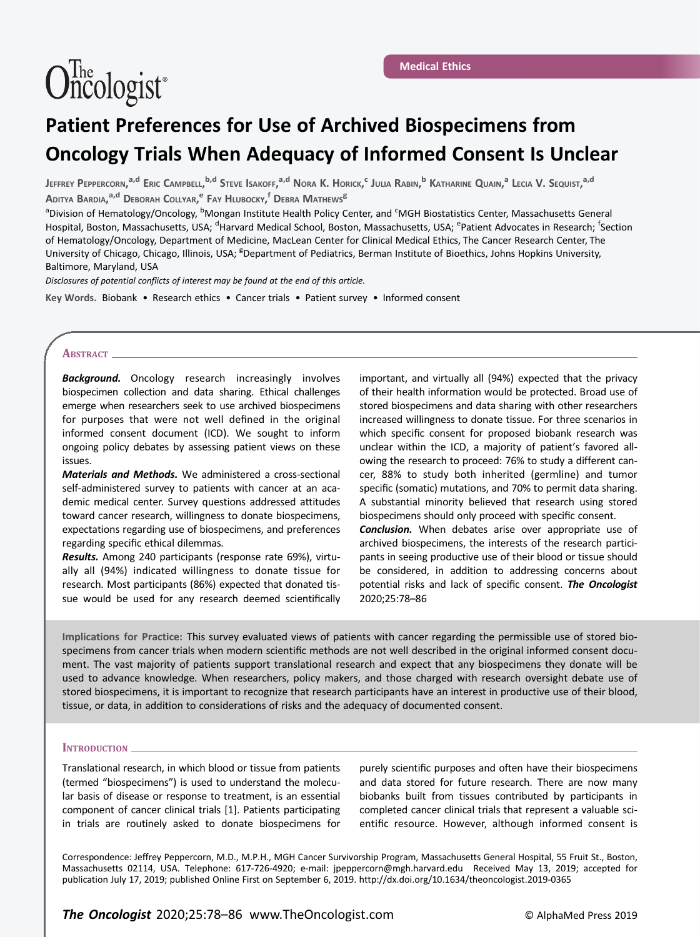# $\widehat{\text{Onicologist}}$ <sup>\*</sup>

## Patient Preferences for Use of Archived Biospecimens from Oncology Trials When Adequacy of Informed Consent Is Unclear

Jeffrey Peppercorn,<sup>a,d</sup> Eric Campbell,<sup>b,d</sup> Steve Isakoff,<sup>a,d</sup> Nora K. Horick,<sup>c</sup> Julia Rabin,<sup>b</sup> Katharine Quain,<sup>a</sup> Lecia V. Sequist,<sup>a,d</sup> Aditya Bardia,<sup>a,d</sup> Deborah Collyar,<sup>e</sup> Fay Hlubocky,<sup>f</sup> Debra Mathews<sup>8</sup>

<sup>a</sup>Division of Hematology/Oncology, <sup>b</sup>Mongan Institute Health Policy Center, and <sup>c</sup>MGH Biostatistics Center, Massachusetts General Hospital, Boston, Massachusetts, USA; <sup>d</sup>Harvard Medical School, Boston, Massachusetts, USA; <sup>e</sup>Patient Advocates in Research; <sup>f</sup>Section of Hematology/Oncology, Department of Medicine, MacLean Center for Clinical Medical Ethics, The Cancer Research Center, The University of Chicago, Chicago, Illinois, USA; <sup>g</sup>Department of Pediatrics, Berman Institute of Bioethics, Johns Hopkins University, Baltimore, Maryland, USA

Disclosures of potential conflicts of interest may be found at the end of this article.

Key Words. Biobank • Research ethics • Cancer trials • Patient survey • Informed consent

#### **ABSTRACT**

**Background.** Oncology research increasingly involves biospecimen collection and data sharing. Ethical challenges emerge when researchers seek to use archived biospecimens for purposes that were not well defined in the original informed consent document (ICD). We sought to inform ongoing policy debates by assessing patient views on these issues.

Materials and Methods. We administered a cross-sectional self-administered survey to patients with cancer at an academic medical center. Survey questions addressed attitudes toward cancer research, willingness to donate biospecimens, expectations regarding use of biospecimens, and preferences regarding specific ethical dilemmas.

Results. Among 240 participants (response rate 69%), virtually all (94%) indicated willingness to donate tissue for research. Most participants (86%) expected that donated tissue would be used for any research deemed scientifically important, and virtually all (94%) expected that the privacy of their health information would be protected. Broad use of stored biospecimens and data sharing with other researchers increased willingness to donate tissue. For three scenarios in which specific consent for proposed biobank research was unclear within the ICD, a majority of patient's favored allowing the research to proceed: 76% to study a different cancer, 88% to study both inherited (germline) and tumor specific (somatic) mutations, and 70% to permit data sharing. A substantial minority believed that research using stored biospecimens should only proceed with specific consent.

**Conclusion.** When debates arise over appropriate use of archived biospecimens, the interests of the research participants in seeing productive use of their blood or tissue should be considered, in addition to addressing concerns about potential risks and lack of specific consent. The Oncologist 2020;25:78–86

Implications for Practice: This survey evaluated views of patients with cancer regarding the permissible use of stored biospecimens from cancer trials when modern scientific methods are not well described in the original informed consent document. The vast majority of patients support translational research and expect that any biospecimens they donate will be used to advance knowledge. When researchers, policy makers, and those charged with research oversight debate use of stored biospecimens, it is important to recognize that research participants have an interest in productive use of their blood, tissue, or data, in addition to considerations of risks and the adequacy of documented consent.

#### INTRODUCTION \_

Translational research, in which blood or tissue from patients (termed "biospecimens") is used to understand the molecular basis of disease or response to treatment, is an essential component of cancer clinical trials [1]. Patients participating in trials are routinely asked to donate biospecimens for

purely scientific purposes and often have their biospecimens and data stored for future research. There are now many biobanks built from tissues contributed by participants in completed cancer clinical trials that represent a valuable scientific resource. However, although informed consent is

Correspondence: Jeffrey Peppercorn, M.D., M.P.H., MGH Cancer Survivorship Program, Massachusetts General Hospital, 55 Fruit St., Boston, Massachusetts 02114, USA. Telephone: 617-726-4920; e-mail: [jpeppercorn@mgh.harvard.edu](mailto:jpeppercorn@mgh.harvard.edu) Received May 13, 2019; accepted for publication July 17, 2019; published Online First on September 6, 2019.<http://dx.doi.org/10.1634/theoncologist.2019-0365>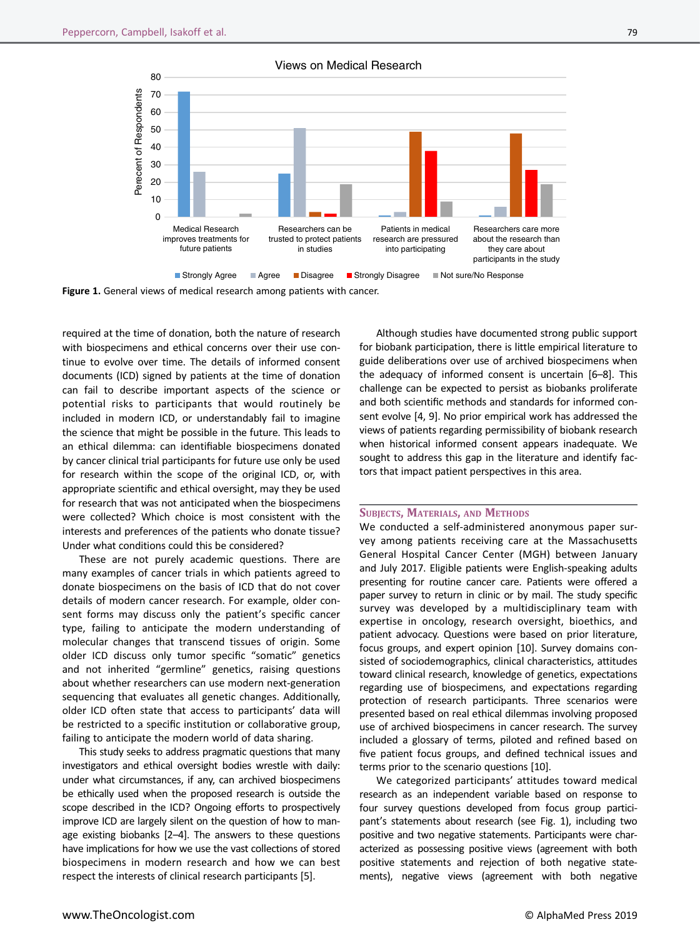

Figure 1. General views of medical research among patients with cancer.

required at the time of donation, both the nature of research with biospecimens and ethical concerns over their use continue to evolve over time. The details of informed consent documents (ICD) signed by patients at the time of donation can fail to describe important aspects of the science or potential risks to participants that would routinely be included in modern ICD, or understandably fail to imagine the science that might be possible in the future. This leads to an ethical dilemma: can identifiable biospecimens donated by cancer clinical trial participants for future use only be used for research within the scope of the original ICD, or, with appropriate scientific and ethical oversight, may they be used for research that was not anticipated when the biospecimens were collected? Which choice is most consistent with the interests and preferences of the patients who donate tissue? Under what conditions could this be considered?

These are not purely academic questions. There are many examples of cancer trials in which patients agreed to donate biospecimens on the basis of ICD that do not cover details of modern cancer research. For example, older consent forms may discuss only the patient's specific cancer type, failing to anticipate the modern understanding of molecular changes that transcend tissues of origin. Some older ICD discuss only tumor specific "somatic" genetics and not inherited "germline" genetics, raising questions about whether researchers can use modern next-generation sequencing that evaluates all genetic changes. Additionally, older ICD often state that access to participants' data will be restricted to a specific institution or collaborative group, failing to anticipate the modern world of data sharing.

This study seeks to address pragmatic questions that many investigators and ethical oversight bodies wrestle with daily: under what circumstances, if any, can archived biospecimens be ethically used when the proposed research is outside the scope described in the ICD? Ongoing efforts to prospectively improve ICD are largely silent on the question of how to manage existing biobanks [2–4]. The answers to these questions have implications for how we use the vast collections of stored biospecimens in modern research and how we can best respect the interests of clinical research participants [5].

Although studies have documented strong public support for biobank participation, there is little empirical literature to guide deliberations over use of archived biospecimens when the adequacy of informed consent is uncertain [6–8]. This challenge can be expected to persist as biobanks proliferate and both scientific methods and standards for informed consent evolve [4, 9]. No prior empirical work has addressed the views of patients regarding permissibility of biobank research when historical informed consent appears inadequate. We sought to address this gap in the literature and identify factors that impact patient perspectives in this area.

#### SUBJECTS, MATERIALS, AND METHODS

We conducted a self-administered anonymous paper survey among patients receiving care at the Massachusetts General Hospital Cancer Center (MGH) between January and July 2017. Eligible patients were English-speaking adults presenting for routine cancer care. Patients were offered a paper survey to return in clinic or by mail. The study specific survey was developed by a multidisciplinary team with expertise in oncology, research oversight, bioethics, and patient advocacy. Questions were based on prior literature, focus groups, and expert opinion [10]. Survey domains consisted of sociodemographics, clinical characteristics, attitudes toward clinical research, knowledge of genetics, expectations regarding use of biospecimens, and expectations regarding protection of research participants. Three scenarios were presented based on real ethical dilemmas involving proposed use of archived biospecimens in cancer research. The survey included a glossary of terms, piloted and refined based on five patient focus groups, and defined technical issues and terms prior to the scenario questions [10].

We categorized participants' attitudes toward medical research as an independent variable based on response to four survey questions developed from focus group participant's statements about research (see Fig. 1), including two positive and two negative statements. Participants were characterized as possessing positive views (agreement with both positive statements and rejection of both negative statements), negative views (agreement with both negative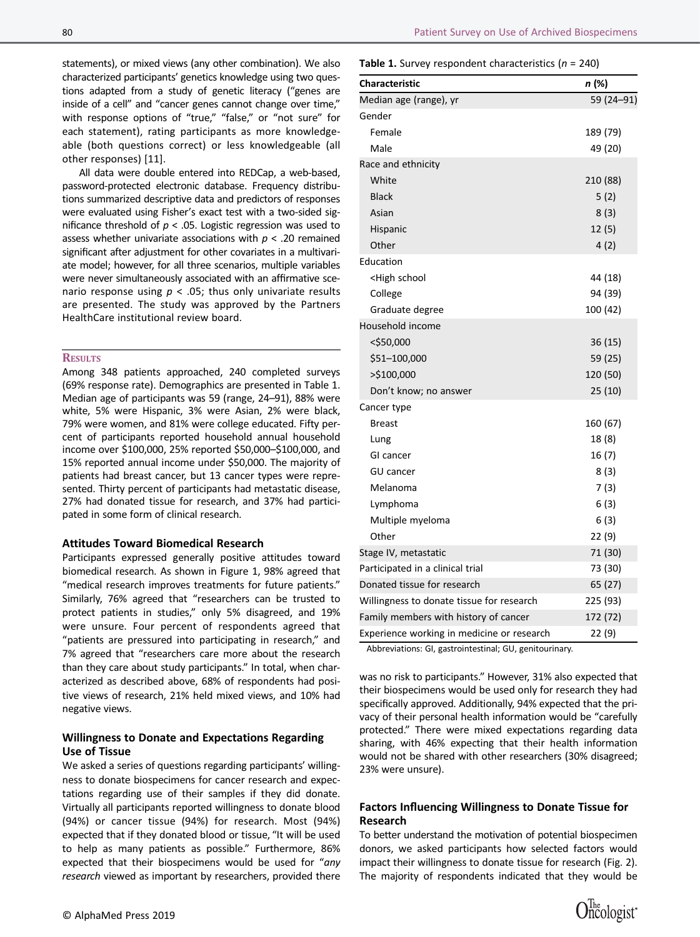statements), or mixed views (any other combination). We also characterized participants' genetics knowledge using two questions adapted from a study of genetic literacy ("genes are inside of a cell" and "cancer genes cannot change over time," with response options of "true," "false," or "not sure" for each statement), rating participants as more knowledgeable (both questions correct) or less knowledgeable (all other responses) [11].

All data were double entered into REDCap, a web-based, password-protected electronic database. Frequency distributions summarized descriptive data and predictors of responses were evaluated using Fisher's exact test with a two-sided significance threshold of  $p < .05$ . Logistic regression was used to assess whether univariate associations with  $p < .20$  remained significant after adjustment for other covariates in a multivariate model; however, for all three scenarios, multiple variables were never simultaneously associated with an affirmative scenario response using  $p < .05$ ; thus only univariate results are presented. The study was approved by the Partners HealthCare institutional review board.

#### **RESULTS**

Among 348 patients approached, 240 completed surveys (69% response rate). Demographics are presented in Table 1. Median age of participants was 59 (range, 24–91), 88% were white, 5% were Hispanic, 3% were Asian, 2% were black, 79% were women, and 81% were college educated. Fifty percent of participants reported household annual household income over \$100,000, 25% reported \$50,000–\$100,000, and 15% reported annual income under \$50,000. The majority of patients had breast cancer, but 13 cancer types were represented. Thirty percent of participants had metastatic disease, 27% had donated tissue for research, and 37% had participated in some form of clinical research.

#### Attitudes Toward Biomedical Research

Participants expressed generally positive attitudes toward biomedical research. As shown in Figure 1, 98% agreed that "medical research improves treatments for future patients." Similarly, 76% agreed that "researchers can be trusted to protect patients in studies," only 5% disagreed, and 19% were unsure. Four percent of respondents agreed that "patients are pressured into participating in research," and 7% agreed that "researchers care more about the research than they care about study participants." In total, when characterized as described above, 68% of respondents had positive views of research, 21% held mixed views, and 10% had negative views.

#### Willingness to Donate and Expectations Regarding Use of Tissue

We asked a series of questions regarding participants' willingness to donate biospecimens for cancer research and expectations regarding use of their samples if they did donate. Virtually all participants reported willingness to donate blood (94%) or cancer tissue (94%) for research. Most (94%) expected that if they donated blood or tissue, "It will be used to help as many patients as possible." Furthermore, 86% expected that their biospecimens would be used for "any research viewed as important by researchers, provided there

#### Table 1. Survey respondent characteristics ( $n = 240$ )

| <b>Characteristic</b>                          | n (%)      |
|------------------------------------------------|------------|
| Median age (range), yr                         | 59 (24-91) |
| Gender                                         |            |
| Female                                         | 189 (79)   |
| Male                                           | 49 (20)    |
| Race and ethnicity                             |            |
| White                                          | 210 (88)   |
| <b>Black</b>                                   | 5(2)       |
| Asian                                          | 8(3)       |
| Hispanic                                       | 12(5)      |
| Other                                          | 4(2)       |
| Education                                      |            |
| <high school<="" td=""><td>44 (18)</td></high> | 44 (18)    |
| College                                        | 94 (39)    |
| Graduate degree                                | 100 (42)   |
| Household income                               |            |
| $<$ \$50,000                                   | 36 (15)    |
| \$51-100,000                                   | 59 (25)    |
| >\$100,000                                     | 120 (50)   |
| Don't know; no answer                          | 25 (10)    |
| Cancer type                                    |            |
| <b>Breast</b>                                  | 160 (67)   |
| Lung                                           | 18 (8)     |
| GI cancer                                      | 16(7)      |
| <b>GU</b> cancer                               | 8 (3)      |
| Melanoma                                       | 7(3)       |
| Lymphoma                                       | 6(3)       |
| Multiple myeloma                               | 6(3)       |
| Other                                          | 22 (9)     |
| Stage IV, metastatic                           | 71 (30)    |
| Participated in a clinical trial               | 73 (30)    |
| Donated tissue for research                    | 65 (27)    |
| Willingness to donate tissue for research      | 225 (93)   |
| Family members with history of cancer          | 172 (72)   |
| Experience working in medicine or research     | 22 (9)     |

Abbreviations: GI, gastrointestinal; GU, genitourinary.

was no risk to participants." However, 31% also expected that their biospecimens would be used only for research they had specifically approved. Additionally, 94% expected that the privacy of their personal health information would be "carefully protected." There were mixed expectations regarding data sharing, with 46% expecting that their health information would not be shared with other researchers (30% disagreed; 23% were unsure).

#### Factors Influencing Willingness to Donate Tissue for Research

To better understand the motivation of potential biospecimen donors, we asked participants how selected factors would impact their willingness to donate tissue for research (Fig. 2). The majority of respondents indicated that they would be

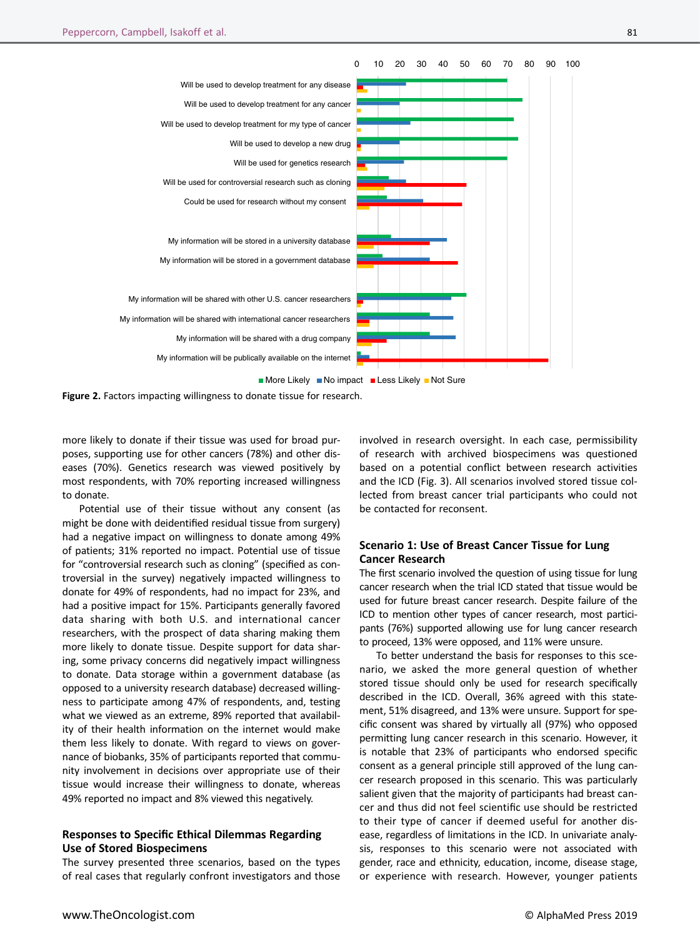

Figure 2. Factors impacting willingness to donate tissue for research.

more likely to donate if their tissue was used for broad purposes, supporting use for other cancers (78%) and other diseases (70%). Genetics research was viewed positively by most respondents, with 70% reporting increased willingness to donate.

Potential use of their tissue without any consent (as might be done with deidentified residual tissue from surgery) had a negative impact on willingness to donate among 49% of patients; 31% reported no impact. Potential use of tissue for "controversial research such as cloning" (specified as controversial in the survey) negatively impacted willingness to donate for 49% of respondents, had no impact for 23%, and had a positive impact for 15%. Participants generally favored data sharing with both U.S. and international cancer researchers, with the prospect of data sharing making them more likely to donate tissue. Despite support for data sharing, some privacy concerns did negatively impact willingness to donate. Data storage within a government database (as opposed to a university research database) decreased willingness to participate among 47% of respondents, and, testing what we viewed as an extreme, 89% reported that availability of their health information on the internet would make them less likely to donate. With regard to views on governance of biobanks, 35% of participants reported that community involvement in decisions over appropriate use of their tissue would increase their willingness to donate, whereas 49% reported no impact and 8% viewed this negatively.

#### Responses to Specific Ethical Dilemmas Regarding Use of Stored Biospecimens

The survey presented three scenarios, based on the types of real cases that regularly confront investigators and those involved in research oversight. In each case, permissibility of research with archived biospecimens was questioned based on a potential conflict between research activities and the ICD (Fig. 3). All scenarios involved stored tissue collected from breast cancer trial participants who could not be contacted for reconsent.

#### Scenario 1: Use of Breast Cancer Tissue for Lung Cancer Research

The first scenario involved the question of using tissue for lung cancer research when the trial ICD stated that tissue would be used for future breast cancer research. Despite failure of the ICD to mention other types of cancer research, most participants (76%) supported allowing use for lung cancer research to proceed, 13% were opposed, and 11% were unsure.

To better understand the basis for responses to this scenario, we asked the more general question of whether stored tissue should only be used for research specifically described in the ICD. Overall, 36% agreed with this statement, 51% disagreed, and 13% were unsure. Support for specific consent was shared by virtually all (97%) who opposed permitting lung cancer research in this scenario. However, it is notable that 23% of participants who endorsed specific consent as a general principle still approved of the lung cancer research proposed in this scenario. This was particularly salient given that the majority of participants had breast cancer and thus did not feel scientific use should be restricted to their type of cancer if deemed useful for another disease, regardless of limitations in the ICD. In univariate analysis, responses to this scenario were not associated with gender, race and ethnicity, education, income, disease stage, or experience with research. However, younger patients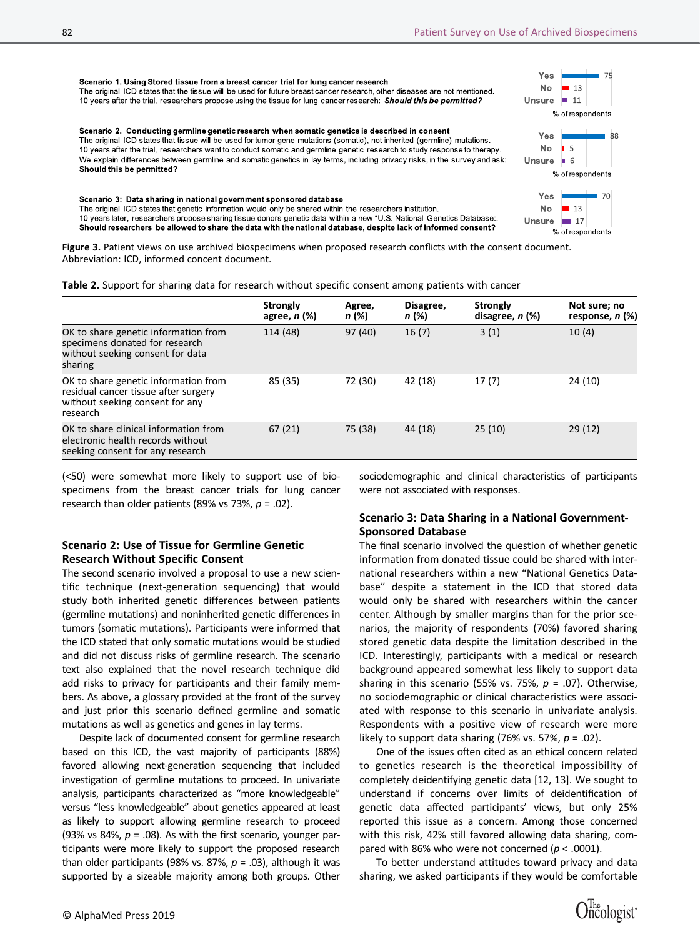**Yes** 

**No** 

N<sub>o</sub>

Unsure 17

Unsure  $\blacksquare$  11

 $\blacksquare$  13

 $\blacksquare$  13

% of respondents

75

 $R^2$ 

 $-70$ 

The original ICD states that the tissue will be used for future breast cancer research, other diseases are not mentioned. 10 years after the trial, researchers propose using the tissue for lung cancer research: Should this be permitted? Scenario 2. Conducting germline genetic research when somatic genetics is described in consent The original ICD states that tissue will be used for tumor gene mutations (somatic), not inherited (germline) mutations. 10 years after the trial, researchers want to conduct somatic and germline genetic research to study response to therapy.

Scenario 1. Using Stored tissue from a breast cancer trial for lung cancer research

% of respondents  $Yes$ N<sub>o</sub>  $\blacksquare$  5 We explain differences between germline and somatic genetics in lay terms, including privacy risks, in the survey and ask: Unsure  $\Box$  6 % of respondents Yes

Scenario 3: Data sharing in national government sponsored database The original ICD states that genetic information would only be shared within the researchers institution. 10 years later, researchers propose sharing tissue donors genetic data within a new "U.S. National Genetics Database: Should researchers be allowed to share the data with the national database, despite lack of informed consent?

Figure 3. Patient views on use archived biospecimens when proposed research conflicts with the consent document. Abbreviation: ICD, informed concent document.

| Table 2. Support for sharing data for research without specific consent among patients with cancer |  |  |
|----------------------------------------------------------------------------------------------------|--|--|
|----------------------------------------------------------------------------------------------------|--|--|

|                                                                                                                             | <b>Strongly</b><br>agree, $n$ $(\%)$ | Agree,<br>n (%) | Disagree,<br>n (%) | <b>Strongly</b><br>disagree, $n$ (%) | Not sure; no<br>response, n (%) |
|-----------------------------------------------------------------------------------------------------------------------------|--------------------------------------|-----------------|--------------------|--------------------------------------|---------------------------------|
| OK to share genetic information from<br>specimens donated for research<br>without seeking consent for data<br>sharing       | 114 (48)                             | 97 (40)         | 16(7)              | 3(1)                                 | 10(4)                           |
| OK to share genetic information from<br>residual cancer tissue after surgery<br>without seeking consent for any<br>research | 85 (35)                              | 72 (30)         | 42 (18)            | 17(7)                                | 24 (10)                         |
| OK to share clinical information from<br>electronic health records without<br>seeking consent for any research              | 67(21)                               | 75 (38)         | 44 (18)            | 25(10)                               | 29(12)                          |

(<50) were somewhat more likely to support use of biospecimens from the breast cancer trials for lung cancer research than older patients (89% vs 73%,  $p = .02$ ).

### Scenario 2: Use of Tissue for Germline Genetic Research Without Specific Consent

The second scenario involved a proposal to use a new scientific technique (next-generation sequencing) that would study both inherited genetic differences between patients (germline mutations) and noninherited genetic differences in tumors (somatic mutations). Participants were informed that the ICD stated that only somatic mutations would be studied and did not discuss risks of germline research. The scenario text also explained that the novel research technique did add risks to privacy for participants and their family members. As above, a glossary provided at the front of the survey and just prior this scenario defined germline and somatic mutations as well as genetics and genes in lay terms.

Despite lack of documented consent for germline research based on this ICD, the vast majority of participants (88%) favored allowing next-generation sequencing that included investigation of germline mutations to proceed. In univariate analysis, participants characterized as "more knowledgeable" versus "less knowledgeable" about genetics appeared at least as likely to support allowing germline research to proceed (93% vs 84%,  $p = .08$ ). As with the first scenario, younger participants were more likely to support the proposed research than older participants (98% vs. 87%,  $p = .03$ ), although it was supported by a sizeable majority among both groups. Other

sociodemographic and clinical characteristics of participants were not associated with responses.

### Scenario 3: Data Sharing in a National Government-Sponsored Database

The final scenario involved the question of whether genetic information from donated tissue could be shared with international researchers within a new "National Genetics Database" despite a statement in the ICD that stored data would only be shared with researchers within the cancer center. Although by smaller margins than for the prior scenarios, the majority of respondents (70%) favored sharing stored genetic data despite the limitation described in the ICD. Interestingly, participants with a medical or research background appeared somewhat less likely to support data sharing in this scenario (55% vs. 75%,  $p = .07$ ). Otherwise, no sociodemographic or clinical characteristics were associated with response to this scenario in univariate analysis. Respondents with a positive view of research were more likely to support data sharing (76% vs. 57%,  $p = .02$ ).

One of the issues often cited as an ethical concern related to genetics research is the theoretical impossibility of completely deidentifying genetic data [12, 13]. We sought to understand if concerns over limits of deidentification of genetic data affected participants' views, but only 25% reported this issue as a concern. Among those concerned with this risk, 42% still favored allowing data sharing, compared with 86% who were not concerned ( $p < .0001$ ).

To better understand attitudes toward privacy and data sharing, we asked participants if they would be comfortable

Should this be permitted?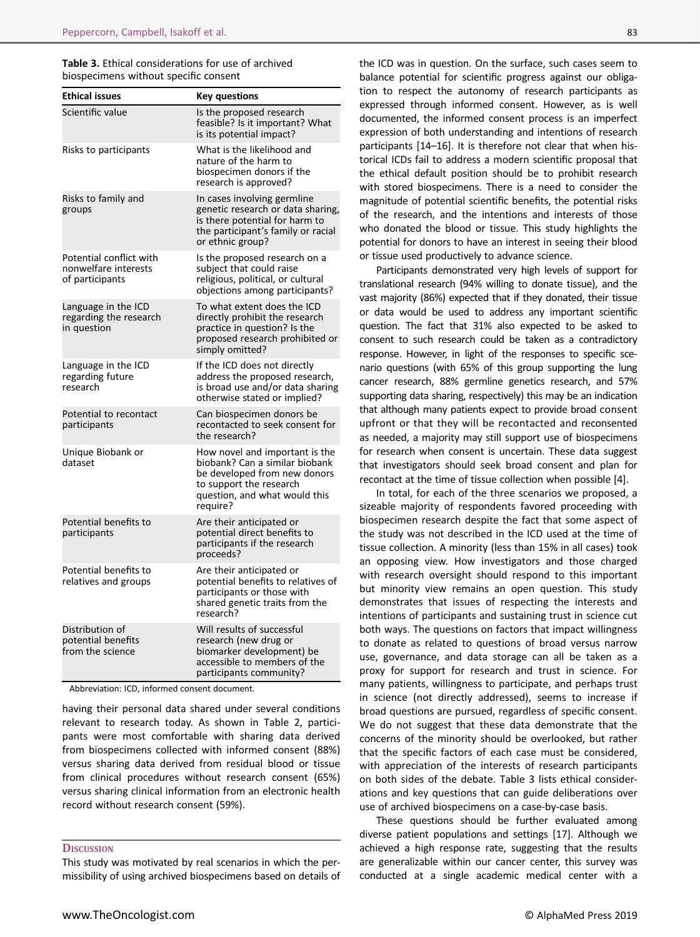| <b>Table 3.</b> Ethical considerations for use of archived |  |
|------------------------------------------------------------|--|
| biospecimens without specific consent                      |  |

| <b>Ethical issues</b>                                              | <b>Key questions</b>                                                                                                                                                     |
|--------------------------------------------------------------------|--------------------------------------------------------------------------------------------------------------------------------------------------------------------------|
| Scientific value                                                   | Is the proposed research<br>feasible? Is it important? What<br>is its potential impact?                                                                                  |
| Risks to participants                                              | What is the likelihood and<br>nature of the harm to<br>biospecimen donors if the<br>research is approved?                                                                |
| Risks to family and<br>groups                                      | In cases involving germline<br>genetic research or data sharing,<br>is there potential for harm to<br>the participant's family or racial<br>or ethnic group?             |
| Potential conflict with<br>nonwelfare interests<br>of participants | Is the proposed research on a<br>subject that could raise<br>religious, political, or cultural<br>objections among participants?                                         |
| Language in the ICD<br>regarding the research<br>in question       | To what extent does the ICD<br>directly prohibit the research<br>practice in question? Is the<br>proposed research prohibited or<br>simply omitted?                      |
| Language in the ICD<br>regarding future<br>research                | If the ICD does not directly<br>address the proposed research,<br>is broad use and/or data sharing<br>otherwise stated or implied?                                       |
| Potential to recontact<br>participants                             | Can biospecimen donors be<br>recontacted to seek consent for<br>the research?                                                                                            |
| Unique Biobank or<br>dataset                                       | How novel and important is the<br>biobank? Can a similar biobank<br>be developed from new donors<br>to support the research<br>question, and what would this<br>require? |
| Potential benefits to<br>participants                              | Are their anticipated or<br>potential direct benefits to<br>participants if the research<br>proceeds?                                                                    |
| Potential benefits to<br>relatives and groups                      | Are their anticipated or<br>potential benefits to relatives of<br>participants or those with<br>shared genetic traits from the<br>research?                              |
| Distribution of<br>potential benefits<br>from the science          | Will results of successful<br>research (new drug or<br>biomarker development) be<br>accessible to members of the<br>participants community?                              |

Abbreviation: ICD, informed consent document.

having their personal data shared under several conditions relevant to research today. As shown in Table 2, participants were most comfortable with sharing data derived from biospecimens collected with informed consent (88%) versus sharing data derived from residual blood or tissue from clinical procedures without research consent (65%) versus sharing clinical information from an electronic health record without research consent (59%).

#### **DISCUSSION**

the ICD was in question. On the surface, such cases seem to balance potential for scientific progress against our obligation to respect the autonomy of research participants as expressed through informed consent. However, as is well documented, the informed consent process is an imperfect expression of both understanding and intentions of research participants [14–16]. It is therefore not clear that when historical ICDs fail to address a modern scientific proposal that the ethical default position should be to prohibit research with stored biospecimens. There is a need to consider the magnitude of potential scientific benefits, the potential risks of the research, and the intentions and interests of those who donated the blood or tissue. This study highlights the potential for donors to have an interest in seeing their blood or tissue used productively to advance science.

Participants demonstrated very high levels of support for translational research (94% willing to donate tissue), and the vast majority (86%) expected that if they donated, their tissue or data would be used to address any important scientific question. The fact that 31% also expected to be asked to consent to such research could be taken as a contradictory response. However, in light of the responses to specific scenario questions (with 65% of this group supporting the lung cancer research, 88% germline genetics research, and 57% supporting data sharing, respectively) this may be an indication that although many patients expect to provide broad consent upfront or that they will be recontacted and reconsented as needed, a majority may still support use of biospecimens for research when consent is uncertain. These data suggest that investigators should seek broad consent and plan for recontact at the time of tissue collection when possible [4].

In total, for each of the three scenarios we proposed, a sizeable majority of respondents favored proceeding with biospecimen research despite the fact that some aspect of the study was not described in the ICD used at the time of tissue collection. A minority (less than 15% in all cases) took an opposing view. How investigators and those charged with research oversight should respond to this important but minority view remains an open question. This study demonstrates that issues of respecting the interests and intentions of participants and sustaining trust in science cut both ways. The questions on factors that impact willingness to donate as related to questions of broad versus narrow use, governance, and data storage can all be taken as a proxy for support for research and trust in science. For many patients, willingness to participate, and perhaps trust in science (not directly addressed), seems to increase if broad questions are pursued, regardless of specific consent. We do not suggest that these data demonstrate that the concerns of the minority should be overlooked, but rather that the specific factors of each case must be considered, with appreciation of the interests of research participants on both sides of the debate. Table 3 lists ethical considerations and key questions that can guide deliberations over use of archived biospecimens on a case-by-case basis.

These questions should be further evaluated among diverse patient populations and settings [17]. Although we achieved a high response rate, suggesting that the results are generalizable within our cancer center, this survey was conducted at a single academic medical center with a

This study was motivated by real scenarios in which the permissibility of using archived biospecimens based on details of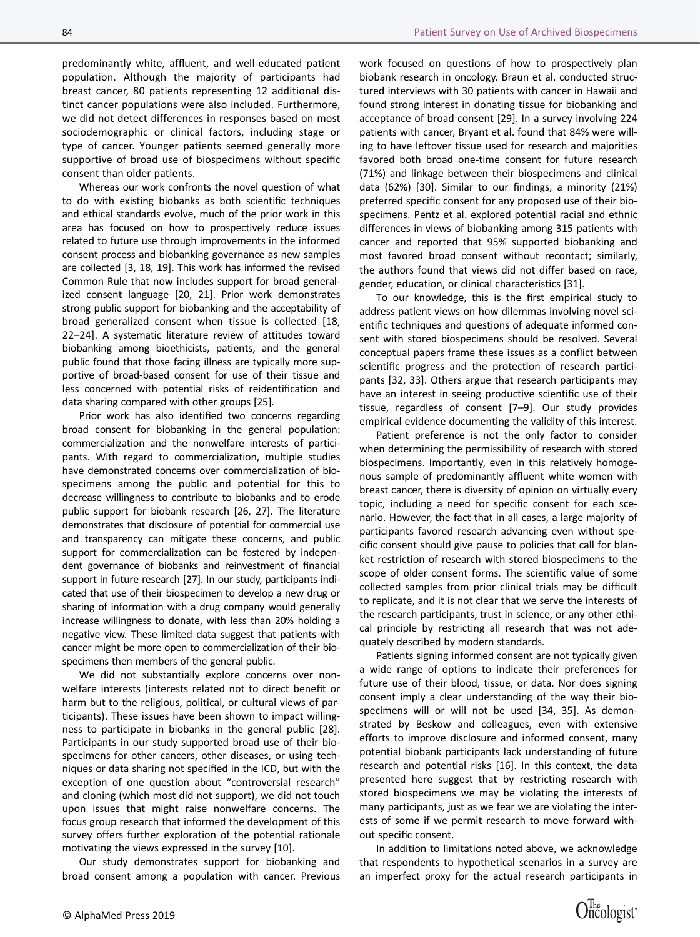predominantly white, affluent, and well-educated patient population. Although the majority of participants had breast cancer, 80 patients representing 12 additional distinct cancer populations were also included. Furthermore, we did not detect differences in responses based on most sociodemographic or clinical factors, including stage or type of cancer. Younger patients seemed generally more supportive of broad use of biospecimens without specific consent than older patients.

Whereas our work confronts the novel question of what to do with existing biobanks as both scientific techniques and ethical standards evolve, much of the prior work in this area has focused on how to prospectively reduce issues related to future use through improvements in the informed consent process and biobanking governance as new samples are collected [3, 18, 19]. This work has informed the revised Common Rule that now includes support for broad generalized consent language [20, 21]. Prior work demonstrates strong public support for biobanking and the acceptability of broad generalized consent when tissue is collected [18, 22–24]. A systematic literature review of attitudes toward biobanking among bioethicists, patients, and the general public found that those facing illness are typically more supportive of broad-based consent for use of their tissue and less concerned with potential risks of reidentification and data sharing compared with other groups [25].

Prior work has also identified two concerns regarding broad consent for biobanking in the general population: commercialization and the nonwelfare interests of participants. With regard to commercialization, multiple studies have demonstrated concerns over commercialization of biospecimens among the public and potential for this to decrease willingness to contribute to biobanks and to erode public support for biobank research [26, 27]. The literature demonstrates that disclosure of potential for commercial use and transparency can mitigate these concerns, and public support for commercialization can be fostered by independent governance of biobanks and reinvestment of financial support in future research [27]. In our study, participants indicated that use of their biospecimen to develop a new drug or sharing of information with a drug company would generally increase willingness to donate, with less than 20% holding a negative view. These limited data suggest that patients with cancer might be more open to commercialization of their biospecimens then members of the general public.

We did not substantially explore concerns over nonwelfare interests (interests related not to direct benefit or harm but to the religious, political, or cultural views of participants). These issues have been shown to impact willingness to participate in biobanks in the general public [28]. Participants in our study supported broad use of their biospecimens for other cancers, other diseases, or using techniques or data sharing not specified in the ICD, but with the exception of one question about "controversial research" and cloning (which most did not support), we did not touch upon issues that might raise nonwelfare concerns. The focus group research that informed the development of this survey offers further exploration of the potential rationale motivating the views expressed in the survey [10].

Our study demonstrates support for biobanking and broad consent among a population with cancer. Previous work focused on questions of how to prospectively plan biobank research in oncology. Braun et al. conducted structured interviews with 30 patients with cancer in Hawaii and found strong interest in donating tissue for biobanking and acceptance of broad consent [29]. In a survey involving 224 patients with cancer, Bryant et al. found that 84% were willing to have leftover tissue used for research and majorities favored both broad one-time consent for future research (71%) and linkage between their biospecimens and clinical data (62%) [30]. Similar to our findings, a minority (21%) preferred specific consent for any proposed use of their biospecimens. Pentz et al. explored potential racial and ethnic differences in views of biobanking among 315 patients with cancer and reported that 95% supported biobanking and most favored broad consent without recontact; similarly, the authors found that views did not differ based on race, gender, education, or clinical characteristics [31].

To our knowledge, this is the first empirical study to address patient views on how dilemmas involving novel scientific techniques and questions of adequate informed consent with stored biospecimens should be resolved. Several conceptual papers frame these issues as a conflict between scientific progress and the protection of research participants [32, 33]. Others argue that research participants may have an interest in seeing productive scientific use of their tissue, regardless of consent [7–9]. Our study provides empirical evidence documenting the validity of this interest.

Patient preference is not the only factor to consider when determining the permissibility of research with stored biospecimens. Importantly, even in this relatively homogenous sample of predominantly affluent white women with breast cancer, there is diversity of opinion on virtually every topic, including a need for specific consent for each scenario. However, the fact that in all cases, a large majority of participants favored research advancing even without specific consent should give pause to policies that call for blanket restriction of research with stored biospecimens to the scope of older consent forms. The scientific value of some collected samples from prior clinical trials may be difficult to replicate, and it is not clear that we serve the interests of the research participants, trust in science, or any other ethical principle by restricting all research that was not adequately described by modern standards.

Patients signing informed consent are not typically given a wide range of options to indicate their preferences for future use of their blood, tissue, or data. Nor does signing consent imply a clear understanding of the way their biospecimens will or will not be used [34, 35]. As demonstrated by Beskow and colleagues, even with extensive efforts to improve disclosure and informed consent, many potential biobank participants lack understanding of future research and potential risks [16]. In this context, the data presented here suggest that by restricting research with stored biospecimens we may be violating the interests of many participants, just as we fear we are violating the interests of some if we permit research to move forward without specific consent.

In addition to limitations noted above, we acknowledge that respondents to hypothetical scenarios in a survey are an imperfect proxy for the actual research participants in

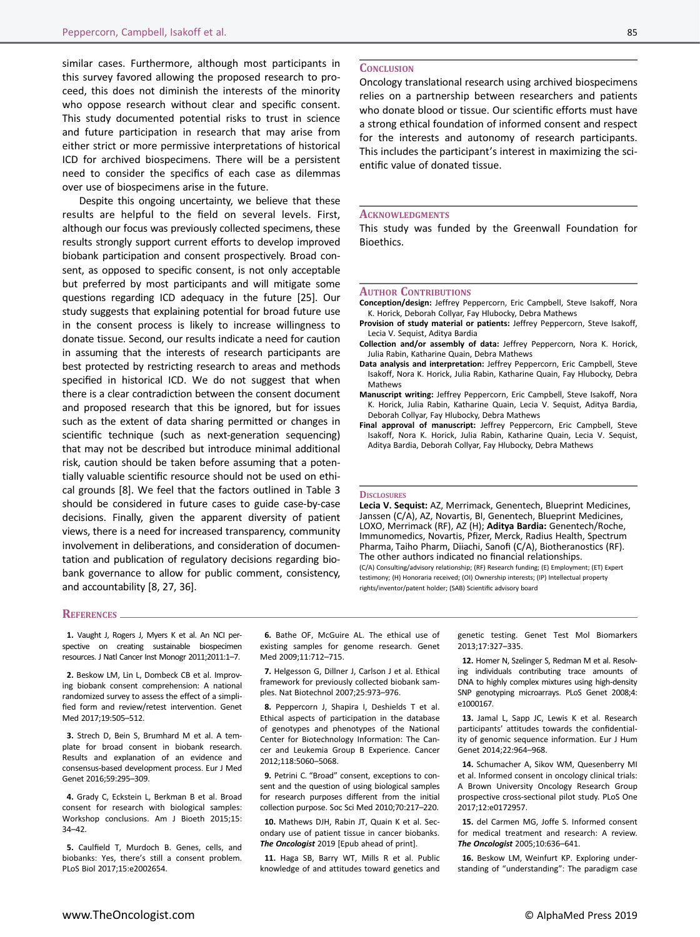similar cases. Furthermore, although most participants in this survey favored allowing the proposed research to proceed, this does not diminish the interests of the minority who oppose research without clear and specific consent. This study documented potential risks to trust in science and future participation in research that may arise from either strict or more permissive interpretations of historical ICD for archived biospecimens. There will be a persistent need to consider the specifics of each case as dilemmas over use of biospecimens arise in the future.

Despite this ongoing uncertainty, we believe that these results are helpful to the field on several levels. First, although our focus was previously collected specimens, these results strongly support current efforts to develop improved biobank participation and consent prospectively. Broad consent, as opposed to specific consent, is not only acceptable but preferred by most participants and will mitigate some questions regarding ICD adequacy in the future [25]. Our study suggests that explaining potential for broad future use in the consent process is likely to increase willingness to donate tissue. Second, our results indicate a need for caution in assuming that the interests of research participants are best protected by restricting research to areas and methods specified in historical ICD. We do not suggest that when there is a clear contradiction between the consent document and proposed research that this be ignored, but for issues such as the extent of data sharing permitted or changes in scientific technique (such as next-generation sequencing) that may not be described but introduce minimal additional risk, caution should be taken before assuming that a potentially valuable scientific resource should not be used on ethical grounds [8]. We feel that the factors outlined in Table 3 should be considered in future cases to guide case-by-case decisions. Finally, given the apparent diversity of patient views, there is a need for increased transparency, community involvement in deliberations, and consideration of documentation and publication of regulatory decisions regarding biobank governance to allow for public comment, consistency, and accountability [8, 27, 36].

#### **CONCLUSION**

Oncology translational research using archived biospecimens relies on a partnership between researchers and patients who donate blood or tissue. Our scientific efforts must have a strong ethical foundation of informed consent and respect for the interests and autonomy of research participants. This includes the participant's interest in maximizing the scientific value of donated tissue.

#### **ACKNOWLEDGMENTS**

This study was funded by the Greenwall Foundation for Bioethics.

#### AUTHOR CONTRIBUTIONS

- Conception/design: Jeffrey Peppercorn, Eric Campbell, Steve Isakoff, Nora K. Horick, Deborah Collyar, Fay Hlubocky, Debra Mathews
- Provision of study material or patients: Jeffrey Peppercorn, Steve Isakoff, Lecia V. Sequist, Aditya Bardia
- Collection and/or assembly of data: Jeffrey Peppercorn, Nora K. Horick, Julia Rabin, Katharine Quain, Debra Mathews
- Data analysis and interpretation: Jeffrey Peppercorn, Eric Campbell, Steve Isakoff, Nora K. Horick, Julia Rabin, Katharine Quain, Fay Hlubocky, Debra Mathews
- Manuscript writing: Jeffrey Peppercorn, Eric Campbell, Steve Isakoff, Nora K. Horick, Julia Rabin, Katharine Quain, Lecia V. Sequist, Aditya Bardia, Deborah Collyar, Fay Hlubocky, Debra Mathews
- Final approval of manuscript: Jeffrey Peppercorn, Eric Campbell, Steve Isakoff, Nora K. Horick, Julia Rabin, Katharine Quain, Lecia V. Sequist, Aditya Bardia, Deborah Collyar, Fay Hlubocky, Debra Mathews

#### **DISCLOSURES**

Lecia V. Sequist: AZ, Merrimack, Genentech, Blueprint Medicines, Janssen (C/A), AZ, Novartis, BI, Genentech, Blueprint Medicines, LOXO, Merrimack (RF), AZ (H); Aditya Bardia: Genentech/Roche, Immunomedics, Novartis, Pfizer, Merck, Radius Health, Spectrum Pharma, Taiho Pharm, Diiachi, Sanofi (C/A), Biotheranostics (RF). The other authors indicated no financial relationships. (C/A) Consulting/advisory relationship; (RF) Research funding; (E) Employment; (ET) Expert testimony; (H) Honoraria received; (OI) Ownership interests; (IP) Intellectual property rights/inventor/patent holder; (SAB) Scientific advisory board

#### REFERENCES

1. Vaught J, Rogers J, Myers K et al. An NCI perspective on creating sustainable biospecimen resources. J Natl Cancer Inst Monogr 2011;2011:1–7.

2. Beskow LM, Lin L, Dombeck CB et al. Improving biobank consent comprehension: A national randomized survey to assess the effect of a simplified form and review/retest intervention. Genet Med 2017;19:505–512.

3. Strech D, Bein S, Brumhard M et al. A template for broad consent in biobank research. Results and explanation of an evidence and consensus-based development process. Eur J Med Genet 2016;59:295–309.

4. Grady C, Eckstein L, Berkman B et al. Broad consent for research with biological samples: Workshop conclusions. Am J Bioeth 2015;15: 34–42.

5. Caulfield T, Murdoch B. Genes, cells, and biobanks: Yes, there's still a consent problem. PLoS Biol 2017;15:e2002654.

6. Bathe OF, McGuire AL. The ethical use of existing samples for genome research. Genet Med 2009;11:712–715.

7. Helgesson G, Dillner J, Carlson J et al. Ethical framework for previously collected biobank samples. Nat Biotechnol 2007;25:973–976.

8. Peppercorn J, Shapira I, Deshields T et al. Ethical aspects of participation in the database of genotypes and phenotypes of the National Center for Biotechnology Information: The Cancer and Leukemia Group B Experience. Cancer 2012;118:5060–5068.

9. Petrini C. "Broad" consent, exceptions to consent and the question of using biological samples for research purposes different from the initial collection purpose. Soc Sci Med 2010;70:217–220.

10. Mathews DJH, Rabin JT, Quain K et al. Secondary use of patient tissue in cancer biobanks. The Oncologist 2019 [Epub ahead of print].

11. Haga SB, Barry WT, Mills R et al. Public knowledge of and attitudes toward genetics and genetic testing. Genet Test Mol Biomarkers 2013;17:327–335.

12. Homer N, Szelinger S, Redman M et al. Resolving individuals contributing trace amounts of DNA to highly complex mixtures using high-density SNP genotyping microarrays. PLoS Genet 2008;4: e1000167.

13. Jamal L, Sapp JC, Lewis K et al. Research participants' attitudes towards the confidentiality of genomic sequence information. Eur J Hum Genet 2014;22:964–968.

14. Schumacher A, Sikov WM, Quesenberry MI et al. Informed consent in oncology clinical trials: A Brown University Oncology Research Group prospective cross-sectional pilot study. PLoS One 2017;12:e0172957.

15. del Carmen MG, Joffe S. Informed consent for medical treatment and research: A review. The Oncologist 2005;10:636–641.

16. Beskow LM, Weinfurt KP. Exploring understanding of "understanding": The paradigm case